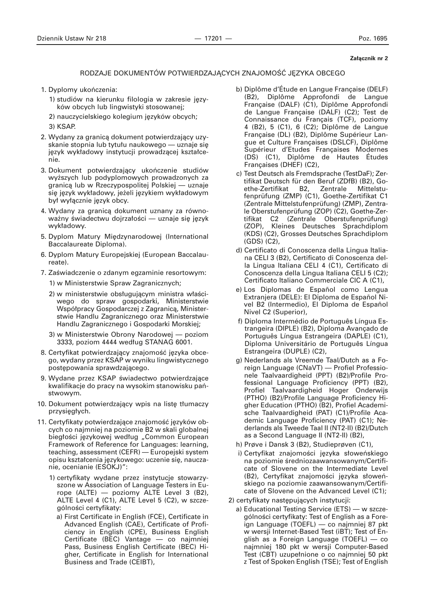## **Za∏àcznik nr 2**

## RODZAJE DOKUMENTÓW POTWIERDZAJĄCYCH ZNAJOMOŚĆ JĘZYKA OBCEGO

- 1. Dyplomy ukończenia:
	- 1) studiów na kierunku filologia w zakresie jezyków obcych lub lingwistyki stosowanej;
	- 2) nauczycielskiego kolegium języków obcych;
	- 3) KSAP.
- 2. Wydany za granicą dokument potwierdzający uzyskanie stopnia lub tytułu naukowego — uznaje się język wykładowy instytucji prowadzącej kształcenie.
- 3. Dokument potwierdzający ukończenie studiów wyższych lub podyplomowych prowadzonych za granicà lub w Rzeczypospolitej Polskiej — uznaje się język wykładowy, jeżeli językiem wykładowym był wyłącznie język obcy.
- 4. Wydany za granicą dokument uznany za równoważny świadectwu dojrzałości — uznaje się język wykładowy.
- 5. Dyplom Matury Międzynarodowej (International Baccalaureate Diploma).
- 6. Dyplom Matury Europejskiej (European Baccalaureate).
- 7. Zaświadczenie o zdanym egzaminie resortowym:
	- 1) w Ministerstwie Spraw Zagranicznych;
	- 2) w ministerstwie obsługującym ministra właściwego do spraw gospodarki, Ministerstwie Współpracy Gospodarczej z Zagranicą, Ministerstwie Handlu Zagranicznego oraz Ministerstwie Handlu Zagranicznego i Gospodarki Morskiej;
	- 3) w Ministerstwie Obrony Narodowej poziom 3333, poziom 4444 według STANAG 6001.
- 8. Certyfikat potwierdzający znajomość języka obcego, wydany przez KSAP w wyniku lingwistycznego postępowania sprawdzającego.
- 9. Wydane przez KSAP świadectwo potwierdzające kwalifikacje do pracy na wysokim stanowisku państwowym.
- 10. Dokument potwierdzający wpis na listę tłumaczy przysięgłych.
- 11. Certyfikaty potwierdzające znajomość języków obcych co najmniej na poziomie B2 w skali globalnej biegłości językowej według "Common European Framework of Reference for Languages: learning, teaching, assessment (CEFR) — Europejski system opisu kształcenia językowego: uczenie się, nauczanie, ocenianie (ESOKJ)":
	- 1) certyfikaty wydane przez instytucje stowarzyszone w Association of Language Testers in Europe (ALTE) — poziomy ALTE Level 3 (B2), ALTE Level 4 (C1), ALTE Level 5 (C2), w szczególności certyfikaty:
		- a) First Certificate in English (FCE), Certificate in Advanced English (CAE), Certificate of Proficiency in English (CPE), Business English Certificate (BEC) Vantage — co najmniej Pass, Business English Certificate (BEC) Higher, Certificate in English for International Business and Trade (CEIBT),
- b) Diplôme d'Étude en Langue Française (DELF) (B2), Diplôme Approfondi de Langue Fran˜aise (DALF) (C1), Diplôme Approfondi de Langue Française (DALF) (C2); Test de Connaissance du Français (TCF), poziomy 4 (B2), 5 (C1), 6 (C2); Diplôme de Langue Fran˜aise (DL) (B2), Diplôme Supérieur Langue et Culture Françaises (DSLCF), Diplôme Supérieur d'Etudes Françaises Modernes (DS) (C1), Diplôme de Hautes Études Françaises (DHEF) (C2),
- c) Test Deutsch als Fremdsprache (TestDaF); Zertifikat Deutsch für den Beruf (ZDfB) (B2), Goethe-Zertifikat B2, Zentrale Mittelstufenprüfung (ZMP) (C1), Goethe-Zertifikat C1 (Zentrale Mittelstufenprüfung) (ZMP), Zentrale Oberstufenprüfung (ZOP) (C2), Goethe-Zertifikat C2 (Zentrale Oberstufenprüfung) (ZOP), Kleines Deutsches Sprachdiplom (KDS) (C2), Grosses Deutsches Sprachdiplom (GDS) (C2),
- d) Certificato di Conoscenza della Lingua Italiana CELI 3 (B2), Certificato di Conoscenza della Lingua Italiana CELI 4 (C1), Certificato di Conoscenza della Lingua Italiana CELI 5 (C2); Certificato Italiano Commerciale CIC A (C1),
- e) Los Diplomas de Español como Lengua Extranjera (DELE): El Diploma de Español Nivel B2 (Intermedio), El Diploma de Español Nivel C2 (Superior),
- f) Diploma Intermédio de Português Língua Estrangeira (DIPLE) (B2), Diploma Avançado de Português Língua Estrangeira (DAPLE) (C1), Diploma Universitário de Português Língua Estrangeira (DUPLE) (C2),
- g) Nederlands als Vreemde Taal/Dutch as a Foreign Language (CNaVT) — Profiel Professionele Taalvaardigheid (PPT) (B2)/Profile Professional Language Proficiency (PPT) (B2), Profiel Taalvaardigheid Hoger Onderwijs (PTHO) (B2)/Profile Language Proficiency Higher Education (PTHO) (B2), Profiel Academische Taalvaardigheid (PAT) (C1)/Profile Academic Language Proficiency (PAT) (C1); Nederlands als Tweede Taal II (NT2-II) (B2)/Dutch as a Second Language II (NT2-II) (B2),
- h) Prøve i Dansk 3 (B2), Studieprøven (C1),
- i) Certyfikat znajomości języka słoweńskiego na poziomie średniozaawansowanym/Certificate of Slovene on the Intermediate Level (B2), Certyfikat znajomości języka słoweńskiego na poziomie zaawansowanym/Certificate of Slovene on the Advanced Level (C1);
- 2) certyfikaty następujących instytucji:
	- a) Educational Testing Service (ETS) w szczególności certyfikaty: Test of English as a Foreign Language (TOEFL) — co najmniej 87 pkt w wersji Internet-Based Test (iBT); Test of English as a Foreign Language (TOEFL) — co najmniej 180 pkt w wersji Computer-Based Test (CBT) uzupełnione o co najmniej 50 pkt z Test of Spoken English (TSE); Test of English